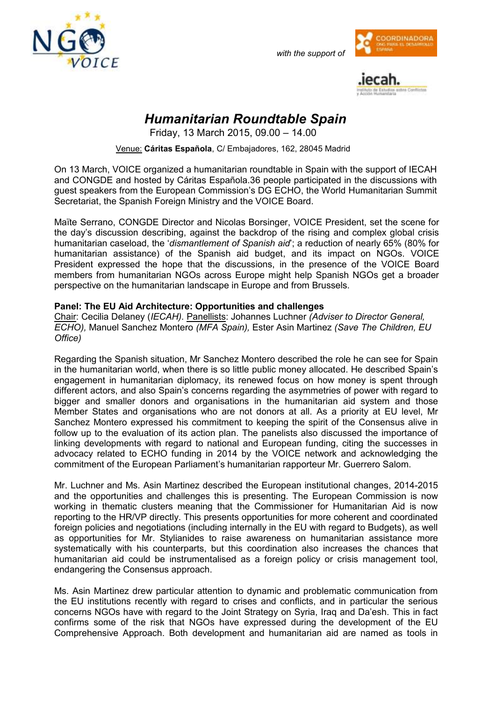

*with the support of*





## *Humanitarian Roundtable Spain*

Friday, 13 March 2015, 09.00 – 14.00

Venue: **Cáritas Española**, C/ Embajadores, 162, 28045 Madrid

On 13 March, VOICE organized a humanitarian roundtable in Spain with the support of IECAH and CONGDE and hosted by Cáritas Española.36 people participated in the discussions with guest speakers from the European Commission's DG ECHO, the World Humanitarian Summit Secretariat, the Spanish Foreign Ministry and the VOICE Board.

Maïte Serrano, CONGDE Director and Nicolas Borsinger, VOICE President, set the scene for the day's discussion describing, against the backdrop of the rising and complex global crisis humanitarian caseload, the '*dismantlement of Spanish aid*'; a reduction of nearly 65% (80% for humanitarian assistance) of the Spanish aid budget, and its impact on NGOs. VOICE President expressed the hope that the discussions, in the presence of the VOICE Board members from humanitarian NGOs across Europe might help Spanish NGOs get a broader perspective on the humanitarian landscape in Europe and from Brussels.

## **Panel: The EU Aid Architecture: Opportunities and challenges**

Chair: Cecilia Delaney (*IECAH).* Panellists: Johannes Luchner *(Adviser to Director General, ECHO),* Manuel Sanchez Montero *(MFA Spain),* Ester Asin Martinez *(Save The Children, EU Office)*

Regarding the Spanish situation, Mr Sanchez Montero described the role he can see for Spain in the humanitarian world, when there is so little public money allocated. He described Spain's engagement in humanitarian diplomacy, its renewed focus on how money is spent through different actors, and also Spain's concerns regarding the asymmetries of power with regard to bigger and smaller donors and organisations in the humanitarian aid system and those Member States and organisations who are not donors at all. As a priority at EU level, Mr Sanchez Montero expressed his commitment to keeping the spirit of the Consensus alive in follow up to the evaluation of its action plan. The panelists also discussed the importance of linking developments with regard to national and European funding, citing the successes in advocacy related to ECHO funding in 2014 by the VOICE network and acknowledging the commitment of the European Parliament's humanitarian rapporteur Mr. Guerrero Salom.

Mr. Luchner and Ms. Asin Martinez described the European institutional changes, 2014-2015 and the opportunities and challenges this is presenting. The European Commission is now working in thematic clusters meaning that the Commissioner for Humanitarian Aid is now reporting to the HR/VP directly. This presents opportunities for more coherent and coordinated foreign policies and negotiations (including internally in the EU with regard to Budgets), as well as opportunities for Mr. Stylianides to raise awareness on humanitarian assistance more systematically with his counterparts, but this coordination also increases the chances that humanitarian aid could be instrumentalised as a foreign policy or crisis management tool, endangering the Consensus approach.

Ms. Asin Martinez drew particular attention to dynamic and problematic communication from the EU institutions recently with regard to crises and conflicts, and in particular the serious concerns NGOs have with regard to the Joint Strategy on Syria, Iraq and Da'esh. This in fact confirms some of the risk that NGOs have expressed during the development of the EU Comprehensive Approach. Both development and humanitarian aid are named as tools in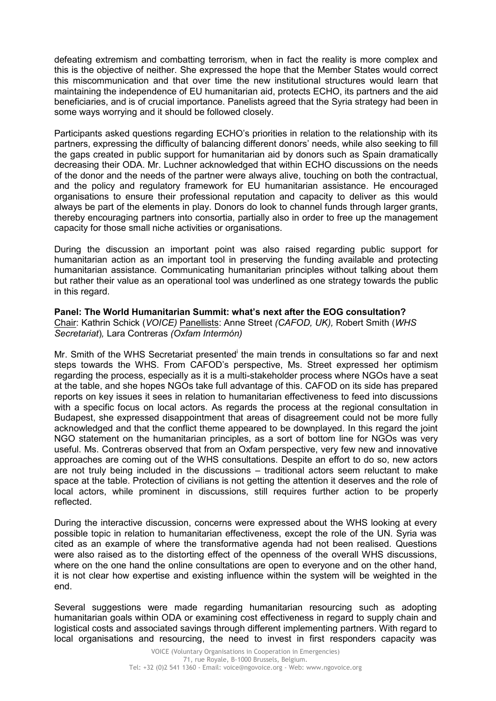defeating extremism and combatting terrorism, when in fact the reality is more complex and this is the objective of neither. She expressed the hope that the Member States would correct this miscommunication and that over time the new institutional structures would learn that maintaining the independence of EU humanitarian aid, protects ECHO, its partners and the aid beneficiaries, and is of crucial importance. Panelists agreed that the Syria strategy had been in some ways worrying and it should be followed closely.

Participants asked questions regarding ECHO's priorities in relation to the relationship with its partners, expressing the difficulty of balancing different donors' needs, while also seeking to fill the gaps created in public support for humanitarian aid by donors such as Spain dramatically decreasing their ODA. Mr. Luchner acknowledged that within ECHO discussions on the needs of the donor and the needs of the partner were always alive, touching on both the contractual, and the policy and regulatory framework for EU humanitarian assistance. He encouraged organisations to ensure their professional reputation and capacity to deliver as this would always be part of the elements in play. Donors do look to channel funds through larger grants, thereby encouraging partners into consortia, partially also in order to free up the management capacity for those small niche activities or organisations.

During the discussion an important point was also raised regarding public support for humanitarian action as an important tool in preserving the funding available and protecting humanitarian assistance. Communicating humanitarian principles without talking about them but rather their value as an operational tool was underlined as one strategy towards the public in this regard.

**Panel: The World Humanitarian Summit: what's next after the EOG consultation?**  Chair: Kathrin Schick (*VOICE)* Panellists: Anne Street *(CAFOD, UK),* Robert Smith (*WHS Secretariat*)*,* Lara Contreras *(Oxfam Intermón)* 

Mr. Smith of the WHS Secretariat presented the main trends in consultations so far and next steps towards the WHS. From CAFOD's perspective, Ms. Street expressed her optimism regarding the process, especially as it is a multi-stakeholder process where NGOs have a seat at the table, and she hopes NGOs take full advantage of this. CAFOD on its side has prepared reports on key issues it sees in relation to humanitarian effectiveness to feed into discussions with a specific focus on local actors. As regards the process at the regional consultation in Budapest, she expressed disappointment that areas of disagreement could not be more fully acknowledged and that the conflict theme appeared to be downplayed. In this regard the joint NGO statement on the humanitarian principles, as a sort of bottom line for NGOs was very useful. Ms. Contreras observed that from an Oxfam perspective, very few new and innovative approaches are coming out of the WHS consultations. Despite an effort to do so, new actors are not truly being included in the discussions – traditional actors seem reluctant to make space at the table. Protection of civilians is not getting the attention it deserves and the role of local actors, while prominent in discussions, still requires further action to be properly reflected.

During the interactive discussion, concerns were expressed about the WHS looking at every possible topic in relation to humanitarian effectiveness, except the role of the UN. Syria was cited as an example of where the transformative agenda had not been realised. Questions were also raised as to the distorting effect of the openness of the overall WHS discussions, where on the one hand the online consultations are open to everyone and on the other hand, it is not clear how expertise and existing influence within the system will be weighted in the end.

Several suggestions were made regarding humanitarian resourcing such as adopting humanitarian goals within ODA or examining cost effectiveness in regard to supply chain and logistical costs and associated savings through different implementing partners. With regard to local organisations and resourcing, the need to invest in first responders capacity was